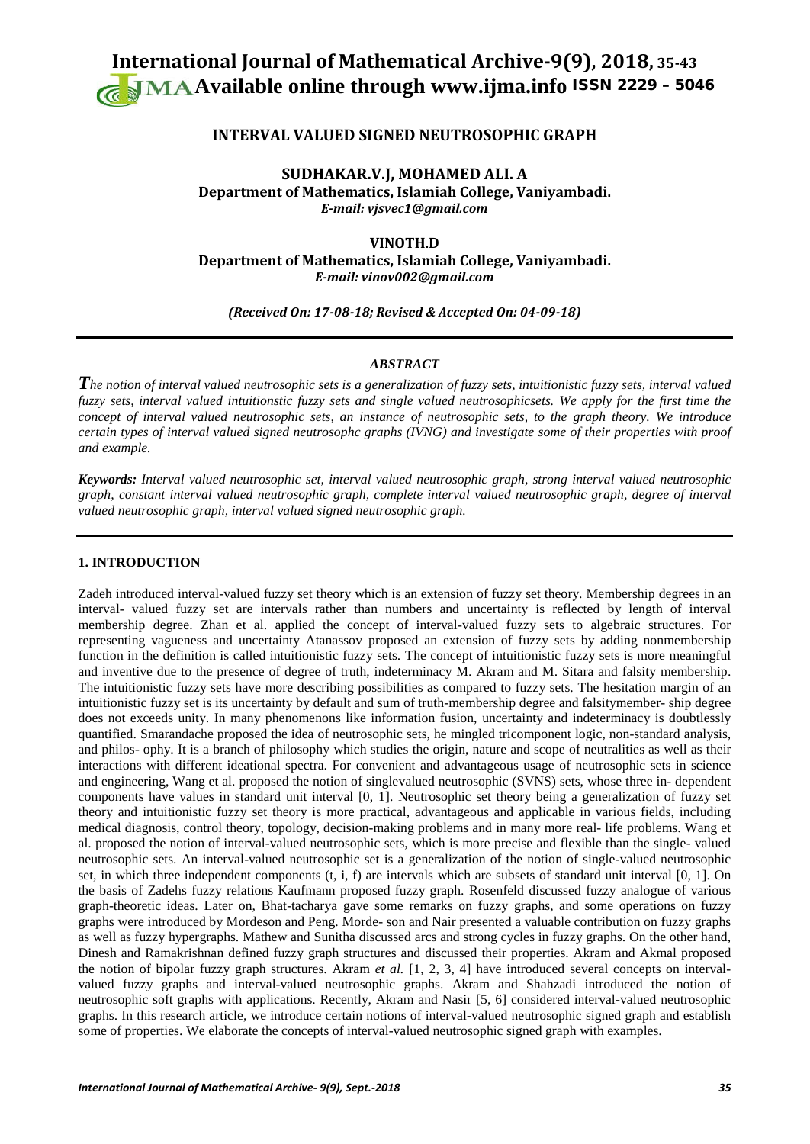# **International Journal of Mathematical Archive-9(9), 2018, 35-43 Available online through [www.ijma.info](http://www.ijma.info/)** ISSN 2229 – <sup>5046</sup>

## **INTERVAL VALUED SIGNED NEUTROSOPHIC GRAPH**

**SUDHAKAR.V.J, MOHAMED ALI. A Department of Mathematics, Islamiah College, Vaniyambadi.** *E-mail: vjsvec1@gmail.com*

**VINOTH.D Department of Mathematics, Islamiah College, Vaniyambadi.** *E-mail: vinov002@gmail.com*

*(Received On: 17-08-18; Revised & Accepted On: 04-09-18)*

## *ABSTRACT*

*The notion of interval valued neutrosophic sets is a generalization of fuzzy sets, intuitionistic fuzzy sets, interval valued fuzzy sets, interval valued intuitionstic fuzzy sets and single valued neutrosophicsets. We apply for the first time the concept of interval valued neutrosophic sets, an instance of neutrosophic sets, to the graph theory. We introduce certain types of interval valued signed neutrosophc graphs (IVNG) and investigate some of their properties with proof and example.* 

*Keywords: Interval valued neutrosophic set, interval valued neutrosophic graph, strong interval valued neutrosophic graph, constant interval valued neutrosophic graph, complete interval valued neutrosophic graph, degree of interval valued neutrosophic graph, interval valued signed neutrosophic graph.*

### **1. INTRODUCTION**

Zadeh introduced interval-valued fuzzy set theory which is an extension of fuzzy set theory. Membership degrees in an interval- valued fuzzy set are intervals rather than numbers and uncertainty is reflected by length of interval membership degree. Zhan et al. applied the concept of interval-valued fuzzy sets to algebraic structures. For representing vagueness and uncertainty Atanassov proposed an extension of fuzzy sets by adding nonmembership function in the definition is called intuitionistic fuzzy sets. The concept of intuitionistic fuzzy sets is more meaningful and inventive due to the presence of degree of truth, indeterminacy M. Akram and M. Sitara and falsity membership. The intuitionistic fuzzy sets have more describing possibilities as compared to fuzzy sets. The hesitation margin of an intuitionistic fuzzy set is its uncertainty by default and sum of truth-membership degree and falsitymember- ship degree does not exceeds unity. In many phenomenons like information fusion, uncertainty and indeterminacy is doubtlessly quantified. Smarandache proposed the idea of neutrosophic sets, he mingled tricomponent logic, non-standard analysis, and philos- ophy. It is a branch of philosophy which studies the origin, nature and scope of neutralities as well as their interactions with different ideational spectra. For convenient and advantageous usage of neutrosophic sets in science and engineering, Wang et al. proposed the notion of singlevalued neutrosophic (SVNS) sets, whose three in- dependent components have values in standard unit interval [0, 1]. Neutrosophic set theory being a generalization of fuzzy set theory and intuitionistic fuzzy set theory is more practical, advantageous and applicable in various fields, including medical diagnosis, control theory, topology, decision-making problems and in many more real- life problems. Wang et al. proposed the notion of interval-valued neutrosophic sets, which is more precise and flexible than the single- valued neutrosophic sets. An interval-valued neutrosophic set is a generalization of the notion of single-valued neutrosophic set, in which three independent components (t, i, f) are intervals which are subsets of standard unit interval [0, 1]. On the basis of Zadehs fuzzy relations Kaufmann proposed fuzzy graph. Rosenfeld discussed fuzzy analogue of various graph-theoretic ideas. Later on, Bhat-tacharya gave some remarks on fuzzy graphs, and some operations on fuzzy graphs were introduced by Mordeson and Peng. Morde- son and Nair presented a valuable contribution on fuzzy graphs as well as fuzzy hypergraphs. Mathew and Sunitha discussed arcs and strong cycles in fuzzy graphs. On the other hand, Dinesh and Ramakrishnan defined fuzzy graph structures and discussed their properties. Akram and Akmal proposed the notion of bipolar fuzzy graph structures. Akram *et al.* [1, 2, 3, 4] have introduced several concepts on intervalvalued fuzzy graphs and interval-valued neutrosophic graphs. Akram and Shahzadi introduced the notion of neutrosophic soft graphs with applications. Recently, Akram and Nasir [5, 6] considered interval-valued neutrosophic graphs. In this research article, we introduce certain notions of interval-valued neutrosophic signed graph and establish some of properties. We elaborate the concepts of interval-valued neutrosophic signed graph with examples.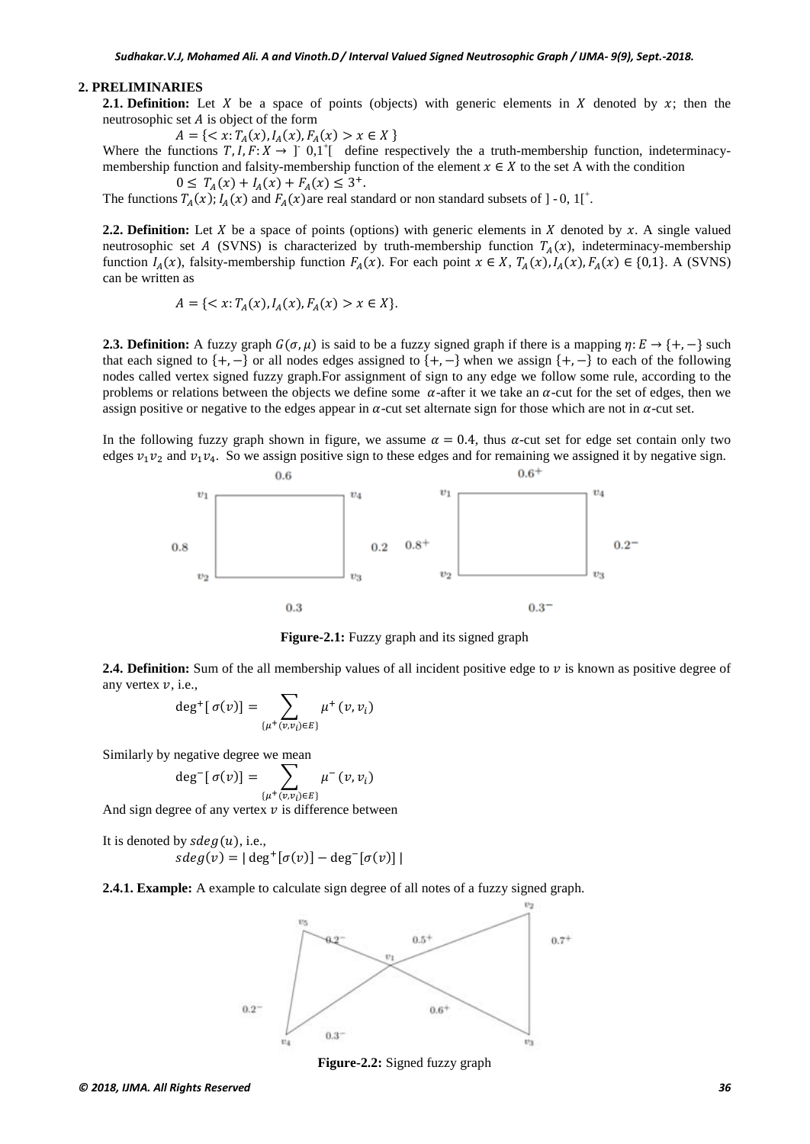#### **2. PRELIMINARIES**

**2.1. Definition:** Let X be a space of points (objects) with generic elements in X denoted by  $x$ ; then the neutrosophic set  $A$  is object of the form

 $A = \{ \langle x: T_A(x), I_A(x), F_A(x) > x \in X \}$ 

Where the functions  $T, I, F: X \to \text{I}^*0, 1^+$  define respectively the a truth-membership function, indeterminacymembership function and falsity-membership function of the element  $x \in X$  to the set A with the condition  $0 \leq T_A(x) + I_A(x) + F_A(x) \leq 3^+$ .

The functions  $T_A(x)$ ;  $I_A(x)$  and  $F_A(x)$  are real standard or non standard subsets of ] - 0, 1[<sup>+</sup>.

**2.2. Definition:** Let  $X$  be a space of points (options) with generic elements in  $X$  denoted by  $x$ . A single valued neutrosophic set A (SVNS) is characterized by truth-membership function  $T<sub>a</sub>(x)$ , indeterminacy-membership function  $I_A(x)$ , falsity-membership function  $F_A(x)$ . For each point  $x \in X$ ,  $T_A(x)$ ,  $I_A(x)$ ,  $F_A(x) \in \{0,1\}$ . A (SVNS) can be written as

$$
A = \{ \langle x : T_A(x), I_A(x), F_A(x) > x \in X \}.
$$

**2.3. <b>Definition:** A fuzzy graph  $G(\sigma, \mu)$  is said to be a fuzzy signed graph if there is a mapping  $\eta: E \to \{+,-\}$  such that each signed to  $\{+, -\}$  or all nodes edges assigned to  $\{+, -\}$  when we assign  $\{+, -\}$  to each of the following nodes called vertex signed fuzzy graph.For assignment of sign to any edge we follow some rule, according to the problems or relations between the objects we define some  $\alpha$ -after it we take an  $\alpha$ -cut for the set of edges, then we assign positive or negative to the edges appear in  $\alpha$ -cut set alternate sign for those which are not in  $\alpha$ -cut set.

In the following fuzzy graph shown in figure, we assume  $\alpha = 0.4$ , thus  $\alpha$ -cut set for edge set contain only two edges  $v_1v_2$  and  $v_1v_4$ . So we assign positive sign to these edges and for remaining we assigned it by negative sign.



**Figure-2.1:** Fuzzy graph and its signed graph

**2.4. Definition:** Sum of the all membership values of all incident positive edge to  $\nu$  is known as positive degree of any vertex  $v$ , i.e.,

$$
\deg^+[\sigma(v)] = \sum_{\{\mu^+(v,v_i)\in E\}} \mu^+(v,v_i)
$$

Similarly by negative degree we mean

$$
\deg^{-}[\sigma(v)] = \sum_{\{\mu^{+}(v,v_{i}) \in E\}} \mu^{-}(v,v_{i})
$$

And sign degree of any vertex  $v$  is difference between

It is denoted by  $\text{sd} \text{eg}(u)$ , i.e.,  $sdeg(y) = | deg^{+}[\sigma(y)] - deg^{-}[\sigma(y)]|$ 

**2.4.1. Example:** A example to calculate sign degree of all notes of a fuzzy signed graph.



**Figure-2.2:** Signed fuzzy graph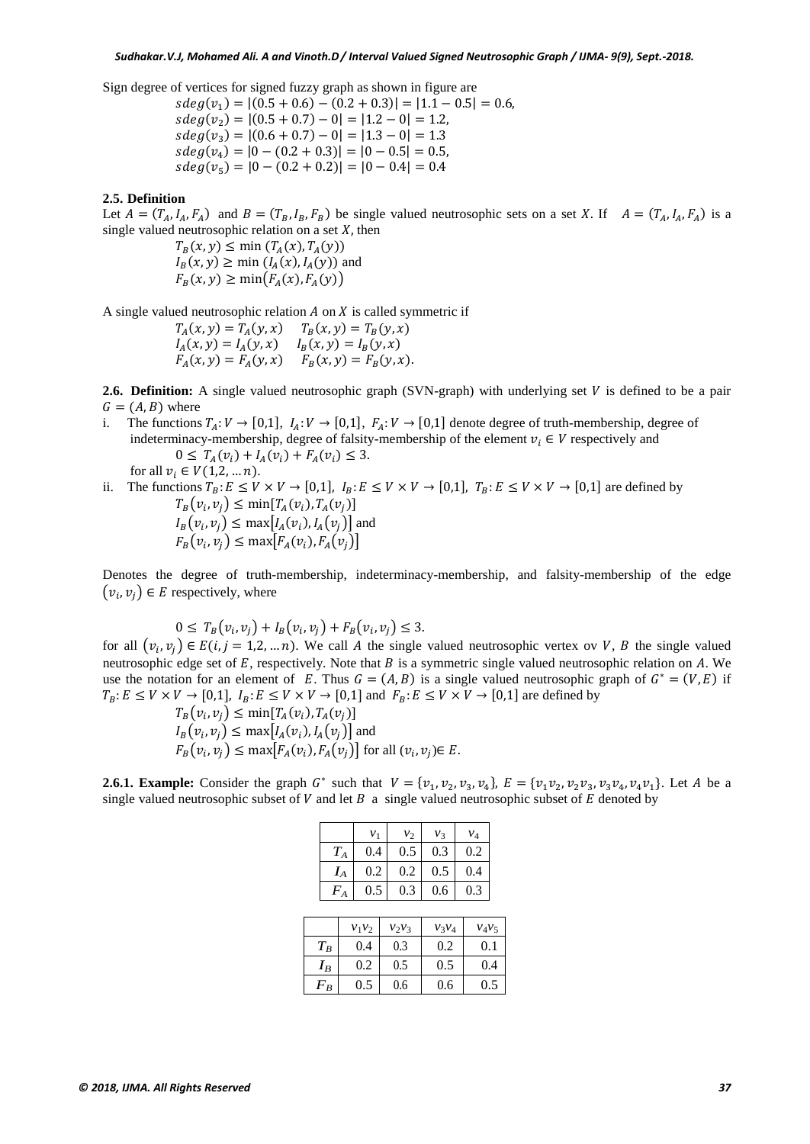Sign degree of vertices for signed fuzzy graph as shown in figure are

 $sdeg(v_1) = |(0.5 + 0.6) - (0.2 + 0.3)| = |1.1 - 0.5| = 0.6$  $sdeg(v_2) = |(0.5 + 0.7) - 0| = |1.2 - 0| = 1.2,$  $sdeg(v_3) = |(0.6 + 0.7) - 0| = |1.3 - 0| = 1.3$  $sdeg(v_4) = |0 - (0.2 + 0.3)| = |0 - 0.5| = 0.5,$  $sdeg(v_5) = |0 - (0.2 + 0.2)| = |0 - 0.4| = 0.4$ 

#### **2.5. Definition**

Let  $A = (T_A, I_A, F_A)$  and  $B = (T_B, I_B, F_B)$  be single valued neutrosophic sets on a set X. If  $A = (T_A, I_A, F_A)$  is a single valued neutrosophic relation on a set  $X$ , then

> $T_B(x, y) \le \min(T_A(x), T_A(y))$  $I_B(x, y) \ge \min(I_A(x), I_A(y))$  and  $F_P(x, y) > \min(F_A(x), F_A(y))$

A single valued neutrosophic relation  $A$  on  $X$  is called symmetric if

 $T_A(x, y) = T_A(y, x)$   $T_B(x, y) = T_B(y, x)$  $I_A(x, y) = I_A(y, x)$   $I_B(x, y) = I_B(y, x)$  $F_A(x, y) = F_A(y, x)$   $F_B(x, y) = F_B(y, x).$ 

**2.6. Definition:** A single valued neutrosophic graph (SVN-graph) with underlying set  $V$  is defined to be a pair  $G = (A, B)$  where<br>i. The functions

- The functions  $T_A: V \to [0,1], I_A: V \to [0,1], F_A: V \to [0,1]$  denote degree of truth-membership, degree of indeterminacy-membership, degree of falsity-membership of the element  $v_i \in V$  respectively and  $0 \leq T_A(v_i) + I_A(v_i) + F_A(v_i) \leq 3.$ for all  $v_i \in V(1,2,...,n)$ .
- ii. The functions  $T_B$ :  $E \le V \times V \to [0,1]$ ,  $I_B$ :  $E \le V \times V \to [0,1]$ ,  $T_B$ :  $E \le V \times V \to [0,1]$  are defined by  $T_B(v_i, v_j) \leq \min[T_A(v_i), T_A(v_j)]$  $I_B(v_i, v_j) \leq \max[I_A(v_i), I_A(v_j)]$  and  $F_R(v_i, v_i) \leq \max[F_A(v_i), F_A(v_i)]$

Denotes the degree of truth-membership, indeterminacy-membership, and falsity-membership of the edge  $(v_i, v_j) \in E$  respectively, where

$$
0 \le T_B(v_i, v_j) + I_B(v_i, v_j) + F_B(v_i, v_j) \le 3.
$$

for all  $(v_i, v_j) \in E(i, j = 1, 2, \dots n)$ . We call A the single valued neutrosophic vertex ov V, B the single valued neutrosophic edge set of  $E$ , respectively. Note that  $B$  is a symmetric single valued neutrosophic relation on  $A$ . We use the notation for an element of E. Thus  $G = (A, B)$  is a single valued neutrosophic graph of  $G^* = (V, E)$  if  $T_B: E \le V \times V \to [0,1],$   $I_B: E \le V \times V \to [0,1]$  and  $F_B: E \le V \times V \to [0,1]$  are defined by

$$
T_B(v_i, v_j) \le \min[T_A(v_i), T_A(v_j)]
$$
  
\n
$$
I_B(v_i, v_j) \le \max[I_A(v_i), I_A(v_j)]
$$
 and  
\n
$$
F_B(v_i, v_j) \le \max[F_A(v_i), F_A(v_j)]
$$
 for all  $(v_i, v_j) \in E$ .

**2.6.1. Example:** Consider the graph  $G^*$  such that  $V = \{v_1, v_2, v_3, v_4\}$ ,  $E = \{v_1v_2, v_2v_3, v_3v_4, v_4v_1\}$ . Let A be a single valued neutrosophic subset of  $V$  and let  $B$  a single valued neutrosophic subset of  $E$  denoted by

|       | $v_1$    | $v_2$    | $v_3$    | $v_4$    |  |  |  |
|-------|----------|----------|----------|----------|--|--|--|
| $T_A$ | 0.4      | 0.5      | 0.3      | 0.2      |  |  |  |
| $I_A$ | 0.2      | 0.2      | 0.5      | 0.4      |  |  |  |
| $F_A$ | 0.5      | 0.3      | 0.6      | 0.3      |  |  |  |
|       |          |          |          |          |  |  |  |
|       | $v_1v_2$ | $v_2v_3$ | $v_3v_4$ | $v_4v_1$ |  |  |  |

|         | $v_1v_2$ | $v_2v_3$ | $v_3v_4$ | $v_4v_5$ |
|---------|----------|----------|----------|----------|
| $T_B\,$ | 0.4      | 0.3      | 0.2      | 0.1      |
| $I_B$   | 0.2      | 0.5      | 0.5      | 0.4      |
| $F_B$   | 0.5      | 0.6      | 0.6      | 0.5      |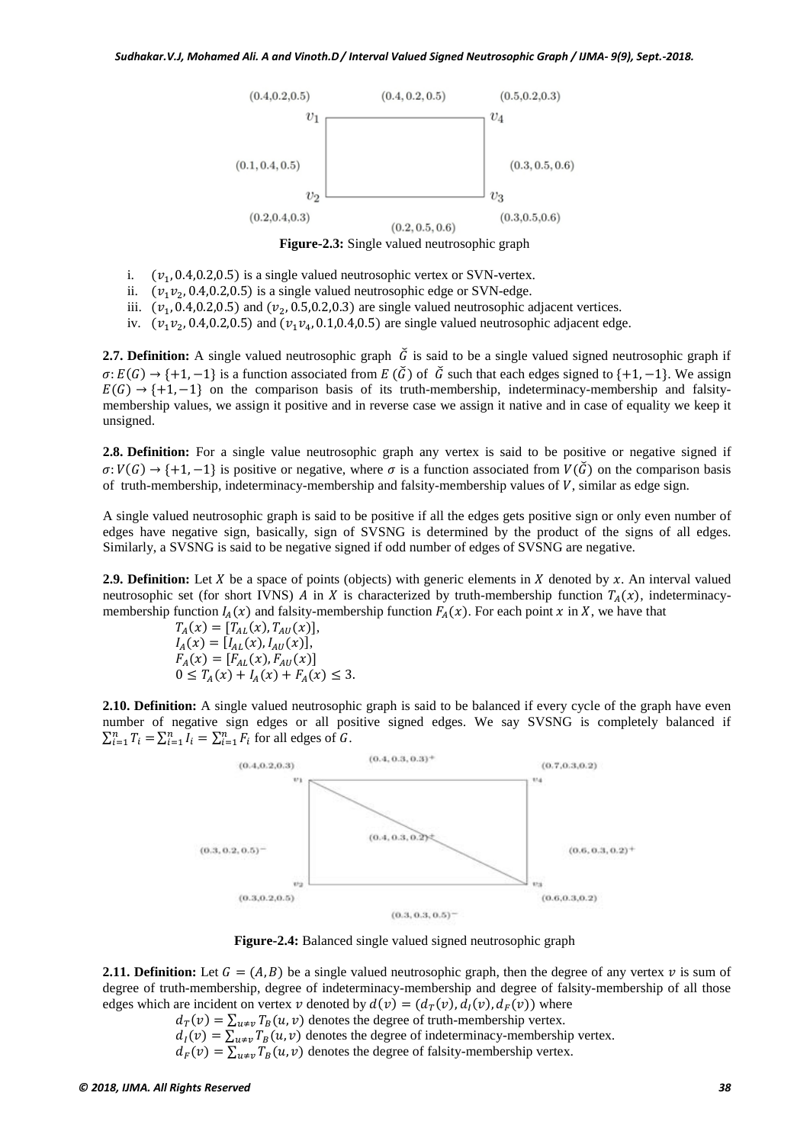

**Figure-2.3:** Single valued neutrosophic graph

- i.  $(v_1, 0.4, 0.2, 0.5)$  is a single valued neutrosophic vertex or SVN-vertex.
- ii.  $(v_1 v_2, 0.4, 0.2, 0.5)$  is a single valued neutrosophic edge or SVN-edge.
- iii.  $(v_1, 0.4, 0.2, 0.5)$  and  $(v_2, 0.5, 0.2, 0.3)$  are single valued neutrosophic adjacent vertices.
- iv.  $(\nu_1 \nu_2, 0.4, 0.2, 0.5)$  and  $(\nu_1 \nu_4, 0.1, 0.4, 0.5)$  are single valued neutrosophic adjacent edge.

**2.7. Definition:** A single valued neutrosophic graph  $\tilde{G}$  is said to be a single valued signed neutrosophic graph if  $\sigma: E(G) \to \{+1, -1\}$  is a function associated from  $E(\tilde{G})$  of  $\tilde{G}$  such that each edges signed to  $\{+1, -1\}$ . We assign  $E(G) \rightarrow \{+1, -1\}$  on the comparison basis of its truth-membership, indeterminacy-membership and falsitymembership values, we assign it positive and in reverse case we assign it native and in case of equality we keep it unsigned.

**2.8. Definition:** For a single value neutrosophic graph any vertex is said to be positive or negative signed if  $\sigma: V(G) \to \{+1, -1\}$  is positive or negative, where  $\sigma$  is a function associated from  $V(\tilde{G})$  on the comparison basis of truth-membership, indeterminacy-membership and falsity-membership values of  $V$ , similar as edge sign.

A single valued neutrosophic graph is said to be positive if all the edges gets positive sign or only even number of edges have negative sign, basically, sign of SVSNG is determined by the product of the signs of all edges. Similarly, a SVSNG is said to be negative signed if odd number of edges of SVSNG are negative.

**2.9. Definition:** Let X be a space of points (objects) with generic elements in X denoted by x. An interval valued neutrosophic set (for short IVNS) A in X is characterized by truth-membership function  $T<sub>A</sub>(x)$ , indeterminacymembership function  $I_A(x)$  and falsity-membership function  $F_A(x)$ . For each point x in X, we have that

$$
T_A(x) = [T_{AL}(x), T_{AU}(x)],
$$
  
\n
$$
I_A(x) = [I_{AL}(x), I_{AU}(x)],
$$
  
\n
$$
F_A(x) = [F_{AL}(x), F_{AU}(x)]
$$
  
\n
$$
0 \le T_A(x) + I_A(x) + F_A(x) \le 3.
$$

**2.10. Definition:** A single valued neutrosophic graph is said to be balanced if every cycle of the graph have even number of negative sign edges or all positive signed edges. We say SVSNG is completely balanced if  $\sum_{i=1}^{n} T_i = \sum_{i=1}^{n} I_i = \sum_{i=1}^{n} F_i$  for all edges of G.



**Figure-2.4:** Balanced single valued signed neutrosophic graph

**2.11. Definition:** Let  $G = (A, B)$  be a single valued neutrosophic graph, then the degree of any vertex v is sum of degree of truth-membership, degree of indeterminacy-membership and degree of falsity-membership of all those edges which are incident on vertex v denoted by  $d(v) = (d_T(v), d_I(v), d_F(v))$  where

 $d_T(v) = \sum_{u \neq v} T_B(u, v)$  denotes the degree of truth-membership vertex.

 $d_I(v) = \sum_{u \neq v} T_B(u, v)$  denotes the degree of indeterminacy-membership vertex.

 $d_F(v) = \sum_{u \neq v} T_B(u, v)$  denotes the degree of falsity-membership vertex.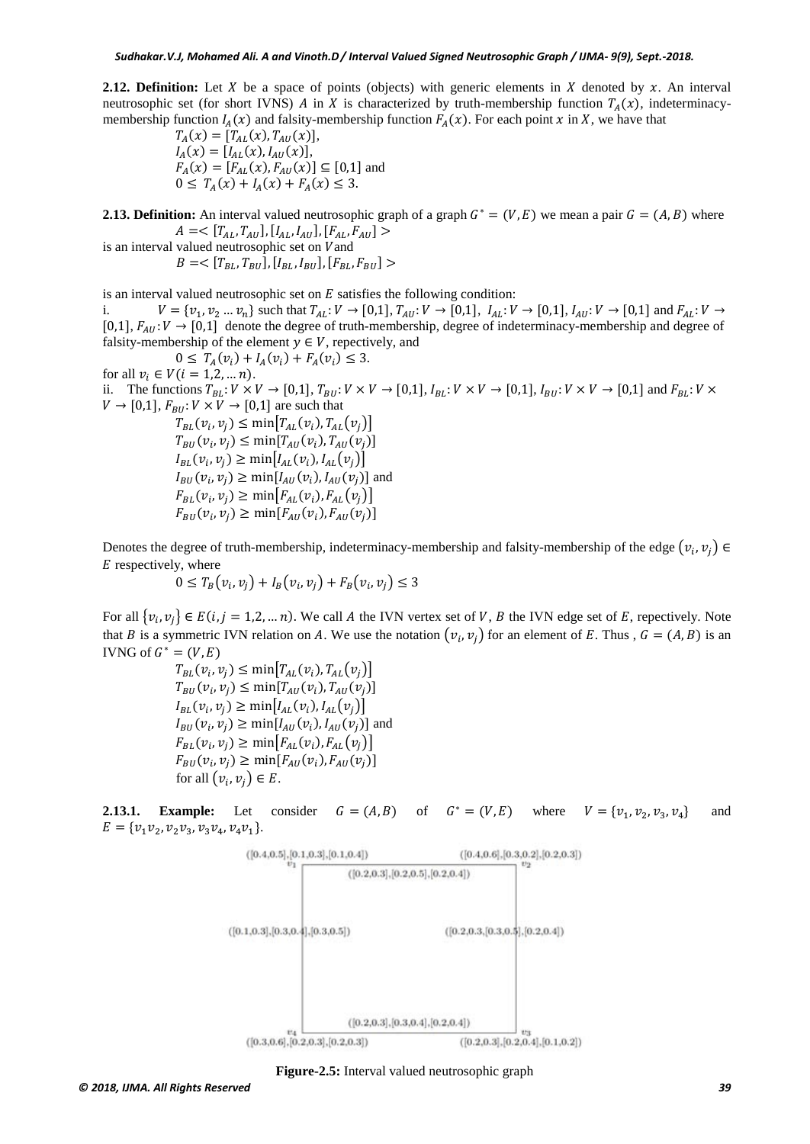**2.12. Definition:** Let X be a space of points (objects) with generic elements in X denoted by x. An interval neutrosophic set (for short IVNS) A in X is characterized by truth-membership function  $T_A(x)$ , indeterminacymembership function  $I_A(x)$  and falsity-membership function  $F_A(x)$ . For each point x in X, we have that

 $T_A(x) = [T_{AL}(x), T_{AU}(x)],$  $I_A(x) = [I_{AL}(x), I_{AU}(x)],$  $F_A(x) = [F_{AL}(x), F_{AU}(x)] \subseteq [0,1]$  and  $0 \leq T_A(x) + I_A(x) + F_A(x) \leq 3.$ 

**2.13. Definition:** An interval valued neutrosophic graph of a graph  $G^* = (V, E)$  we mean a pair  $G = (A, B)$  where  $A = \langle [T_{AL}, T_{AU}], [I_{AL}, I_{AU}], [F_{AL}, F_{AU}] \rangle$ 

is an interval valued neutrosophic set on V and

 $B = \langle [T_{BL}, T_{BU}], [I_{BL}, I_{BU}], [F_{BL}, F_{BU}] \rangle$ 

is an interval valued neutrosophic set on  $E$  satisfies the following condition:

i.  $V = \{v_1, v_2 ... v_n\}$  such that  $T_{AL}: V \to [0,1], T_{AU}: V \to [0,1], I_{AL}: V \to [0,1], I_{AU}: V \to [0,1]$  and  $F_{AL}: V \to [0,1]$ [0,1],  $F_{All}: V \rightarrow [0,1]$  denote the degree of truth-membership, degree of indeterminacy-membership and degree of falsity-membership of the element  $y \in V$ , repectively, and

 $0 \leq T_A(v_i) + I_A(v_i) + F_A(v_i) \leq 3.$ for all  $v_i \in V (i = 1, 2, ..., n)$ . ii. The functions  $T_{BL}: V \times V \to [0,1], T_{BU}: V \times V \to [0,1], I_{BL}: V \times V \to [0,1], I_{BU}: V \times V \to [0,1]$  and  $F_{BL}: V \times V \to [0,1]$  $V \rightarrow [0,1], F_{BU}: V \times V \rightarrow [0,1]$  are such that  $T_{BL}(v_i, v_i) \leq \min[T_{AL}(v_i), T_{AL}(v_i)]$  $T_{BII}(v_i, v_i) \leq \min[T_{AII}(v_i), T_{AII}(v_i)]$  $I_{BL}(v_i, v_i) \ge \min[I_{AL}(v_i), I_{AL}(v_i)]$  $I_{BUI}(v_i, v_i) \ge \min[I_{AUI}(v_i), I_{AUI}(v_i)]$  and  $F_{BL}(v_i, v_i) \ge \min[F_{AL}(v_i), F_{AL}(v_i)]$ 

Denotes the degree of truth-membership, indeterminacy-membership and falsity-membership of the edge  $(v_i, v_i) \in$  $E$  respectively, where

$$
0 \leq T_B(v_i, v_j) + I_B(v_i, v_j) + F_B(v_i, v_j) \leq 3
$$

 $F_{BII}(v_i, v_i) \ge \min[F_{AII}(v_i), F_{AII}(v_i)]$ 

For all  $\{v_i, v_i\} \in E(i, j = 1, 2, \dots n)$ . We call A the IVN vertex set of V, B the IVN edge set of E, repectively. Note that B is a symmetric IVN relation on A. We use the notation  $(v_i, v_i)$  for an element of E. Thus,  $G = (A, B)$  is an IVNG of  $G^* = (V, E)$ 

> $T_{BL}(v_i, v_i) \leq \min[T_{AL}(v_i), T_{AL}(v_i)]$  $T_{BU}(v_i, v_i) \leq \min[T_{AU}(v_i), T_{AU}(v_i)]$  $I_{BL}(v_i, v_i) \geq \min[I_{AL}(v_i), I_{AL}(v_i)]$  $I_{BUI}(v_i, v_i) \ge \min[I_{AUI}(v_i), I_{AUI}(v_i)]$  and  $F_{BL}(v_i, v_i) \ge \min[F_{AL}(v_i), F_{AL}(v_i)]$  $F_{BU}(v_i, v_j) \ge \min[F_{AU}(v_i), F_{AU}(v_j)]$ for all  $(v_i, v_i) \in E$ .

**2.13.1. Example:** Let consider  $G = (A, B)$  of  $G^* = (V, E)$  where  $V = \{v_1, v_2, v_3, v_4\}$  and  $E = \{v_1v_2, v_2v_3, v_3v_4, v_4v_1\}.$ 



**Figure-2.5:** Interval valued neutrosophic graph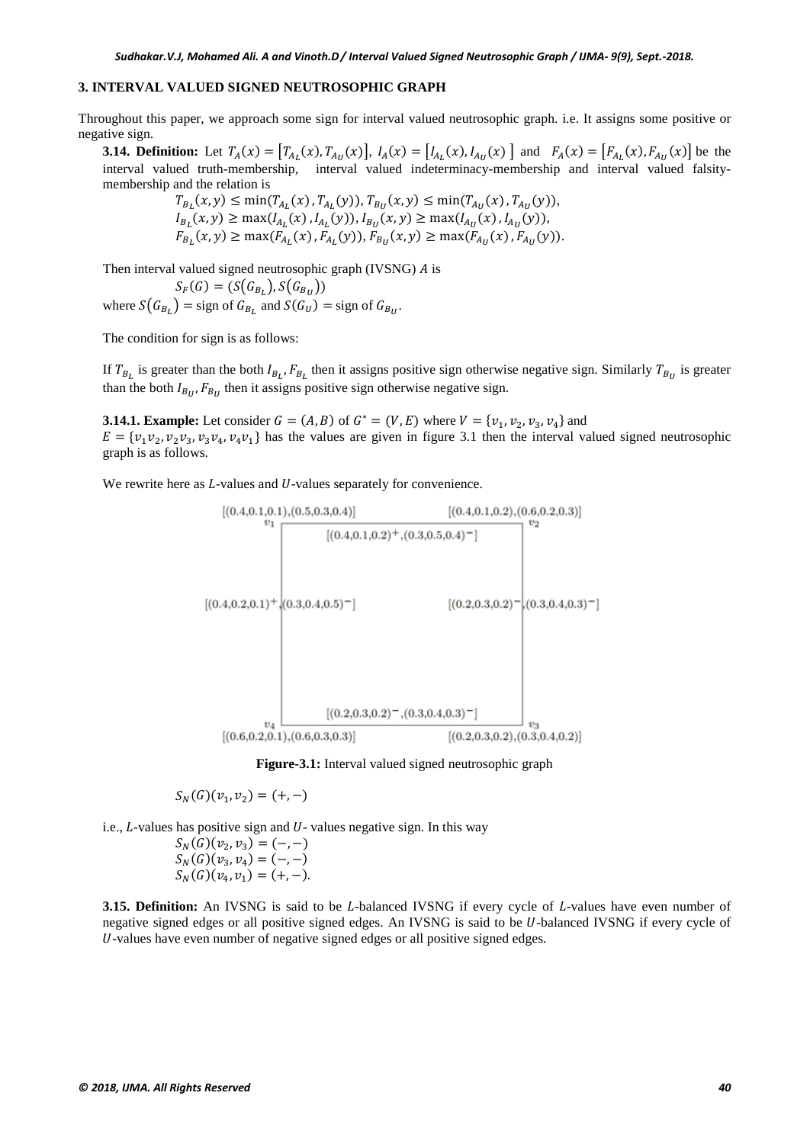#### **3. INTERVAL VALUED SIGNED NEUTROSOPHIC GRAPH**

Throughout this paper, we approach some sign for interval valued neutrosophic graph. i.e. It assigns some positive or negative sign.

**3.14. Definition:** Let  $T_A(x) = [T_{A_L}(x), T_{A_U}(x)]$ ,  $I_A(x) = [I_{A_L}(x), I_{A_U}(x)]$  and  $F_A(x) = [F_{A_L}(x), F_{A_U}(x)]$  be the interval valued truth-membership, interval valued indeterminacy-membership and interval valued falsitymembership and the relation is

 $T_{B_L}(x, y) \le \min(T_{A_L}(x), T_{A_L}(y)),$   $T_{B_U}(x, y) \le \min(T_{A_U}(x), T_{A_U}(y)),$  $I_{B_L}(x, y) \ge \max(I_{A_L}(x), I_{A_L}(y)), I_{B_U}(x, y) \ge \max(I_{A_U}(x), I_{A_U}(y)),$  $F_{B_L}(x, y) \ge \max(F_{A_L}(x), F_{A_L}(y)), F_{B_U}(x, y) \ge \max(F_{A_U}(x), F_{A_U}(y)).$ 

Then interval valued signed neutrosophic graph (IVSNG) A is

 $S_F(G) = (S(G_{B_L}), S(G_{B_U}))$ where  $S(G_{B_1})$  = sign of  $G_{B_1}$  and  $S(G_U)$  = sign of  $G_{B_U}$ .

The condition for sign is as follows:

If  $T_{B_L}$  is greater than the both  $I_{B_L}$ ,  $F_{B_L}$  then it assigns positive sign otherwise negative sign. Similarly  $T_{B_U}$  is greater than the both  $I_{B_{II}}$ ,  $F_{B_{II}}$  then it assigns positive sign otherwise negative sign.

**3.14.1. Example:** Let consider  $G = (A, B)$  of  $G^* = (V, E)$  where  $V = \{v_1, v_2, v_3, v_4\}$  and  $E = \{v_1v_2, v_2v_3, v_3v_4, v_4v_1\}$  has the values are given in figure 3.1 then the interval valued signed neutrosophic graph is as follows.

We rewrite here as  $L$ -values and  $U$ -values separately for convenience.



**Figure-3.1:** Interval valued signed neutrosophic graph

$$
S_N(G)(v_1, v_2) = (+, -)
$$

i.e.,  $L$ -values has positive sign and  $U$ -values negative sign. In this way

$$
S_N(G)(v_2, v_3) = (-,-)
$$
  
\n
$$
S_N(G)(v_3, v_4) = (-,-)
$$
  
\n
$$
S_N(G)(v_4, v_1) = (+,-).
$$

**3.15. Definition:** An IVSNG is said to be *L*-balanced IVSNG if every cycle of *L*-values have even number of negative signed edges or all positive signed edges. An IVSNG is said to be U-balanced IVSNG if every cycle of -values have even number of negative signed edges or all positive signed edges.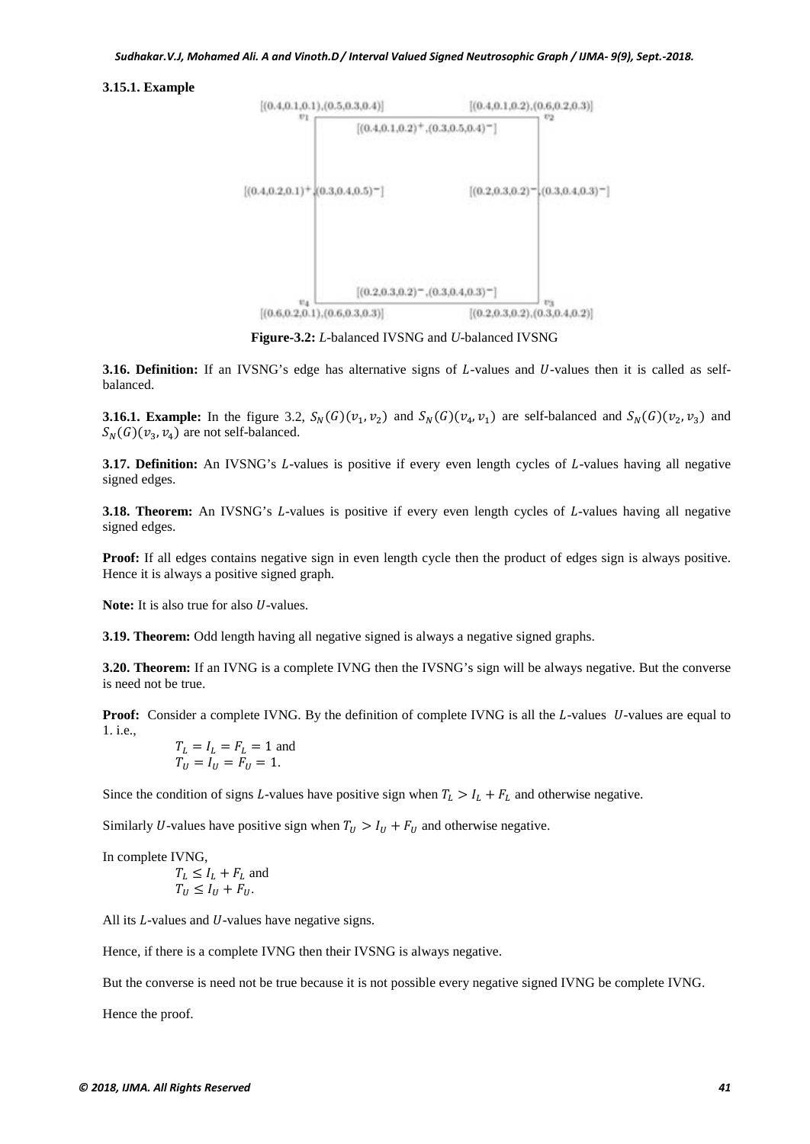#### **3.15.1. Example**



**Figure-3.2:** *L*-balanced IVSNG and *U*-balanced IVSNG

**3.16. Definition:** If an IVSNG's edge has alternative signs of *L*-values and *U*-values then it is called as selfbalanced.

**3.16.1. Example:** In the figure 3.2,  $S_N(G)(v_1, v_2)$  and  $S_N(G)(v_4, v_1)$  are self-balanced and  $S_N(G)(v_2, v_3)$  and  $S_N(G)(v_3, v_4)$  are not self-balanced.

**3.17. Definition:** An IVSNG's L-values is positive if every even length cycles of L-values having all negative signed edges.

**3.18. Theorem:** An IVSNG's L-values is positive if every even length cycles of L-values having all negative signed edges.

**Proof:** If all edges contains negative sign in even length cycle then the product of edges sign is always positive. Hence it is always a positive signed graph.

**Note:** It is also true for also *U*-values.

**3.19. Theorem:** Odd length having all negative signed is always a negative signed graphs.

**3.20. Theorem:** If an IVNG is a complete IVNG then the IVSNG's sign will be always negative. But the converse is need not be true.

**Proof:** Consider a complete IVNG. By the definition of complete IVNG is all the L-values U-values are equal to 1. i.e.,

$$
T_L = I_L = F_L = 1
$$
 and  

$$
T_U = I_U = F_U = 1.
$$

Since the condition of signs L-values have positive sign when  $T_L > I_L + F_L$  and otherwise negative.

Similarly U-values have positive sign when  $T_U > I_U + F_U$  and otherwise negative.

In complete IVNG,

$$
T_L \le I_L + F_L \text{ and}
$$
  

$$
T_U \le I_U + F_U.
$$

All its  $L$ -values and  $U$ -values have negative signs.

Hence, if there is a complete IVNG then their IVSNG is always negative.

But the converse is need not be true because it is not possible every negative signed IVNG be complete IVNG.

Hence the proof.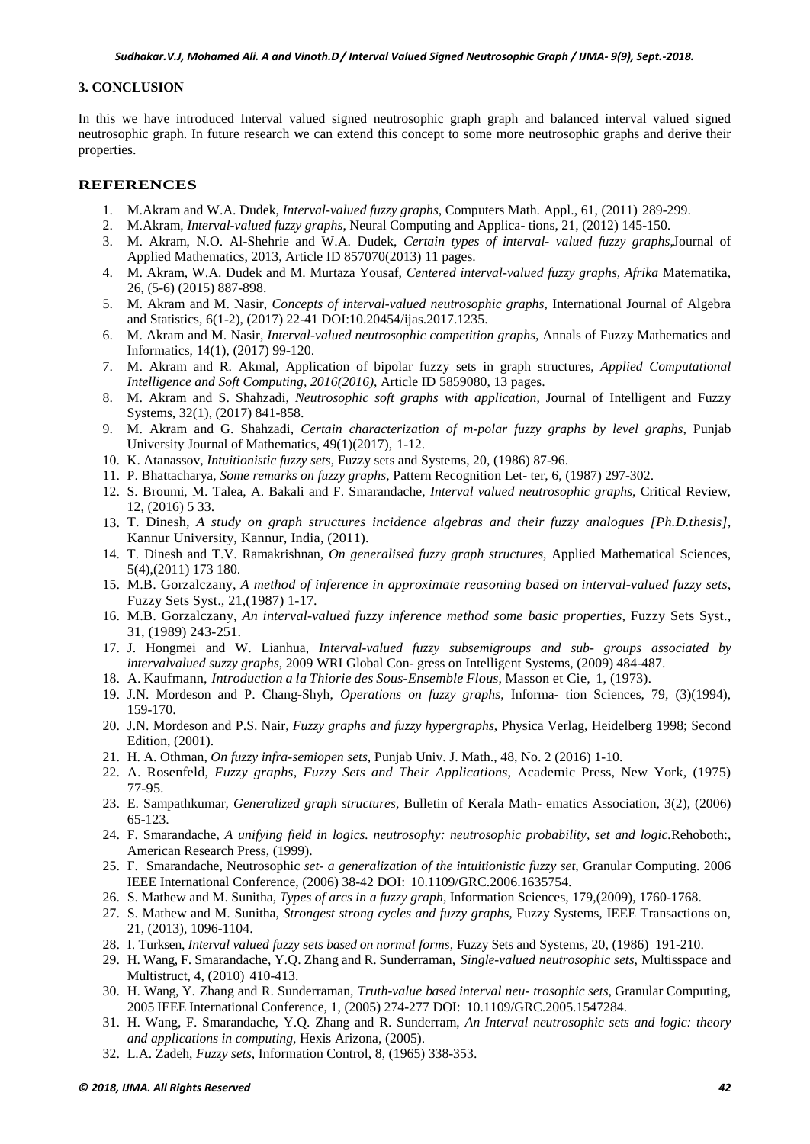#### **3. CONCLUSION**

In this we have introduced Interval valued signed neutrosophic graph graph and balanced interval valued signed neutrosophic graph. In future research we can extend this concept to some more neutrosophic graphs and derive their properties.

#### **REFERENCES**

- 1. M.Akram and W.A. Dudek, *Interval-valued fuzzy graphs*, Computers Math. Appl., 61, (2011) 289-299.
- 2. M.Akram, *Interval-valued fuzzy graphs*, Neural Computing and Applica- tions, 21, (2012) 145-150.
- 3. M. Akram, N.O. Al-Shehrie and W.A. Dudek, *Certain types of interval- valued fuzzy graphs*,Journal of Applied Mathematics, 2013, Article ID 857070(2013) 11 pages.
- 4. M. Akram, W.A. Dudek and M. Murtaza Yousaf, *Centered interval-valued fuzzy graphs, Afrika* Matematika, 26, (5-6) (2015) 887-898.
- 5. M. Akram and M. Nasir, *Concepts of interval-valued neutrosophic graphs*, International Journal of Algebra and Statistics, 6(1-2), (2017) 22-41 DOI:10.20454/ijas.2017.1235.
- 6. M. Akram and M. Nasir, *Interval-valued neutrosophic competition graphs*, Annals of Fuzzy Mathematics and Informatics, 14(1), (2017) 99-120.
- 7. M. Akram and R. Akmal, Application of bipolar fuzzy sets in graph structures, *Applied Computational Intelligence and Soft Computing, 2016(2016)*, Article ID 5859080, 13 pages.
- 8. M. Akram and S. Shahzadi, *Neutrosophic soft graphs with application*, Journal of Intelligent and Fuzzy Systems, 32(1), (2017) 841-858.
- 9. M. Akram and G. Shahzadi, *Certain characterization of m-polar fuzzy graphs by level graphs*, Punjab University Journal of Mathematics, 49(1)(2017), 1-12.
- 10. K. Atanassov, *Intuitionistic fuzzy sets*, Fuzzy sets and Systems, 20, (1986) 87-96.
- 11. P. Bhattacharya, *Some remarks on fuzzy graphs*, Pattern Recognition Let- ter, 6, (1987) 297-302.
- 12. S. Broumi, M. Talea, A. Bakali and F. Smarandache, *Interval valued neutrosophic graphs*, Critical Review, 12, (2016) 5 33.
- 13. T. Dinesh, *A study on graph structures incidence algebras and their fuzzy analogues [Ph.D.thesis]*, Kannur University, Kannur, India, (2011).
- 14. T. Dinesh and T.V. Ramakrishnan, *On generalised fuzzy graph structures*, Applied Mathematical Sciences, 5(4),(2011) 173 180.
- 15. M.B. Gorzalczany, *A method of inference in approximate reasoning based on interval-valued fuzzy sets*, Fuzzy Sets Syst., 21,(1987) 1-17.
- 16. M.B. Gorzalczany, *An interval-valued fuzzy inference method some basic properties*, Fuzzy Sets Syst., 31, (1989) 243-251.
- 17. J. Hongmei and W. Lianhua, *Interval-valued fuzzy subsemigroups and sub- groups associated by intervalvalued suzzy graphs*, 2009 WRI Global Con- gress on Intelligent Systems, (2009) 484-487.
- 18. A. Kaufmann, *Introduction a la Thiorie des Sous-Ensemble Flous*, Masson et Cie, 1, (1973).
- 19. J.N. Mordeson and P. Chang-Shyh, *Operations on fuzzy graphs*, Informa- tion Sciences, 79, (3)(1994), 159-170.
- 20. J.N. Mordeson and P.S. Nair, *Fuzzy graphs and fuzzy hypergraphs*, Physica Verlag, Heidelberg 1998; Second Edition, (2001).
- 21. H. A. Othman, *On fuzzy infra-semiopen sets*, Punjab Univ. J. Math., 48, No. 2 (2016) 1-10.
- 22. A. Rosenfeld, *Fuzzy graphs, Fuzzy Sets and Their Applications*, Academic Press, New York, (1975) 77-95.
- 23. E. Sampathkumar, *Generalized graph structures*, Bulletin of Kerala Math- ematics Association, 3(2), (2006) 65-123.
- 24. F. Smarandache, *A unifying field in logics. neutrosophy: neutrosophic probability, set and logic.*Rehoboth:, American Research Press, (1999).
- 25. F. Smarandache, Neutrosophic *set- a generalization of the intuitionistic fuzzy set*, Granular Computing. 2006 IEEE International Conference, (2006) 38-42 DOI: 10.1109/GRC.2006.1635754.
- 26. S. Mathew and M. Sunitha, *Types of arcs in a fuzzy graph*, Information Sciences, 179,(2009), 1760-1768.
- 27. S. Mathew and M. Sunitha, *Strongest strong cycles and fuzzy graphs*, Fuzzy Systems, IEEE Transactions on, 21, (2013), 1096-1104.
- 28. I. Turksen, *Interval valued fuzzy sets based on normal forms*, Fuzzy Sets and Systems, 20, (1986) 191-210.
- 29. H. Wang, F. Smarandache, Y.Q. Zhang and R. Sunderraman, *Single-valued neutrosophic sets*, Multisspace and Multistruct, 4, (2010) 410-413.
- 30. H. Wang, Y. Zhang and R. Sunderraman, *Truth-value based interval neu- trosophic sets*, Granular Computing, 2005 IEEE International Conference, 1, (2005) 274-277 DOI: 10.1109/GRC.2005.1547284.
- 31. H. Wang, F. Smarandache, Y.Q. Zhang and R. Sunderram, *An Interval neutrosophic sets and logic: theory and applications in computing,* Hexis Arizona, (2005).
- 32. L.A. Zadeh, *Fuzzy sets*, Information Control, 8, (1965) 338-353.